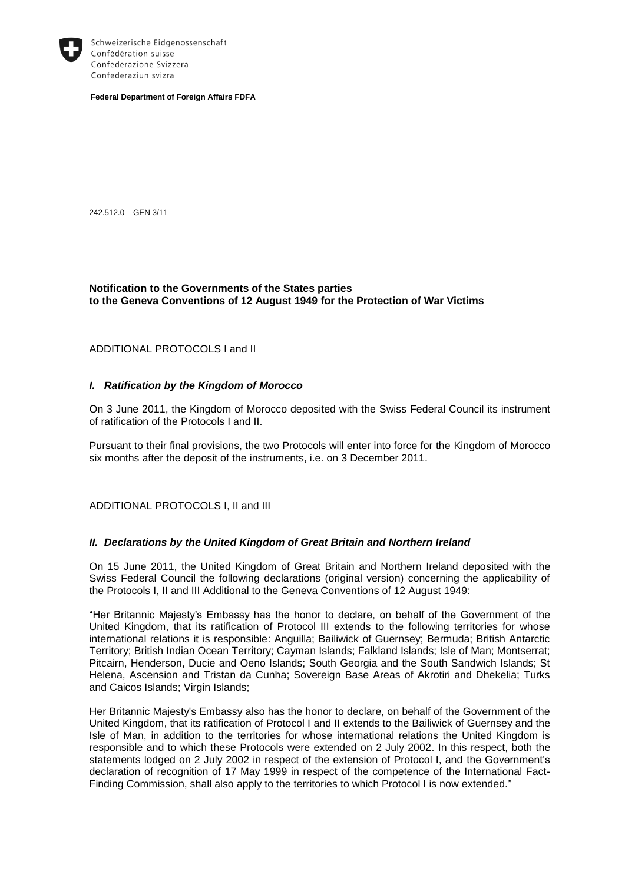

Schweizerische Eidgenossenschaft Confédération suisse Confederazione Svizzera Confederaziun svizra

**Federal Department of Foreign Affairs FDFA**

242.512.0 – GEN 3/11

## **Notification to the Governments of the States parties to the Geneva Conventions of 12 August 1949 for the Protection of War Victims**

## ADDITIONAL PROTOCOLS I and II

## *I. Ratification by the Kingdom of Morocco*

On 3 June 2011, the Kingdom of Morocco deposited with the Swiss Federal Council its instrument of ratification of the Protocols I and II.

Pursuant to their final provisions, the two Protocols will enter into force for the Kingdom of Morocco six months after the deposit of the instruments, i.e. on 3 December 2011.

ADDITIONAL PROTOCOLS I, II and III

## *II. Declarations by the United Kingdom of Great Britain and Northern Ireland*

On 15 June 2011, the United Kingdom of Great Britain and Northern Ireland deposited with the Swiss Federal Council the following declarations (original version) concerning the applicability of the Protocols I, II and III Additional to the Geneva Conventions of 12 August 1949:

"Her Britannic Majesty's Embassy has the honor to declare, on behalf of the Government of the United Kingdom, that its ratification of Protocol III extends to the following territories for whose international relations it is responsible: Anguilla; Bailiwick of Guernsey; Bermuda; British Antarctic Territory; British Indian Ocean Territory; Cayman Islands; Falkland Islands; Isle of Man; Montserrat; Pitcairn, Henderson, Ducie and Oeno Islands; South Georgia and the South Sandwich Islands; St Helena, Ascension and Tristan da Cunha; Sovereign Base Areas of Akrotiri and Dhekelia; Turks and Caicos Islands; Virgin Islands;

Her Britannic Majesty's Embassy also has the honor to declare, on behalf of the Government of the United Kingdom, that its ratification of Protocol I and II extends to the Bailiwick of Guernsey and the Isle of Man, in addition to the territories for whose international relations the United Kingdom is responsible and to which these Protocols were extended on 2 July 2002. In this respect, both the statements lodged on 2 July 2002 in respect of the extension of Protocol I, and the Government's declaration of recognition of 17 May 1999 in respect of the competence of the International Fact-Finding Commission, shall also apply to the territories to which Protocol I is now extended."